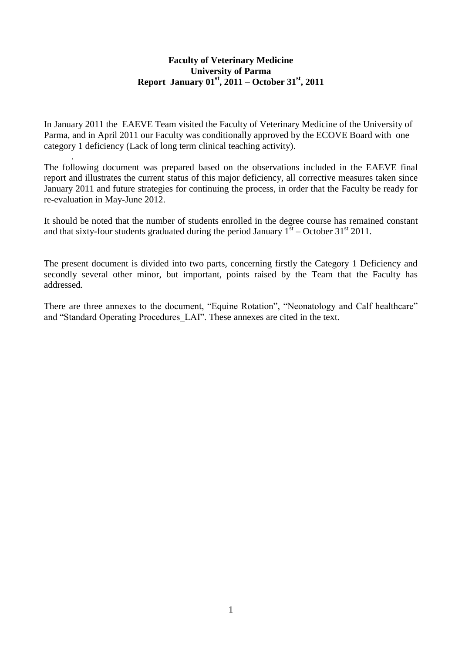#### **Faculty of Veterinary Medicine University of Parma Report January 01st , 2011 – October 31st, 2011**

In January 2011 the EAEVE Team visited the Faculty of Veterinary Medicine of the University of Parma, and in April 2011 our Faculty was conditionally approved by the ECOVE Board with one category 1 deficiency (Lack of long term clinical teaching activity).

.

The following document was prepared based on the observations included in the EAEVE final report and illustrates the current status of this major deficiency, all corrective measures taken since January 2011 and future strategies for continuing the process, in order that the Faculty be ready for re-evaluation in May-June 2012.

It should be noted that the number of students enrolled in the degree course has remained constant and that sixty-four students graduated during the period January  $1^{st}$  – October 31<sup>st</sup> 2011.

The present document is divided into two parts, concerning firstly the Category 1 Deficiency and secondly several other minor, but important, points raised by the Team that the Faculty has addressed.

There are three annexes to the document, "Equine Rotation", "Neonatology and Calf healthcare" and "Standard Operating Procedures LAI". These annexes are cited in the text.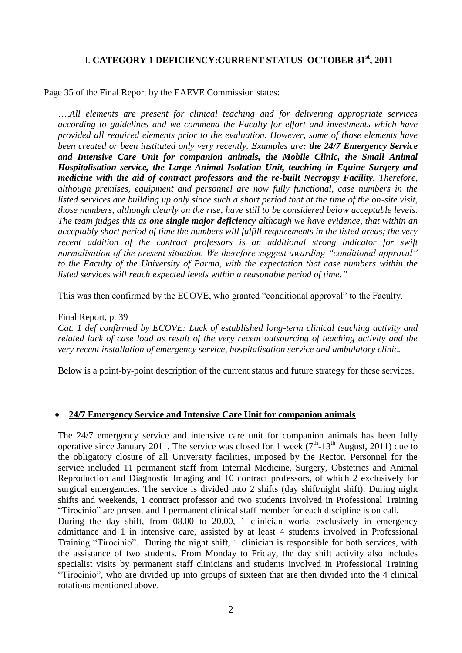# I. **CATEGORY 1 DEFICIENCY:CURRENT STATUS OCTOBER 31st , 2011**

Page 35 of the Final Report by the EAEVE Commission states:

….*All elements are present for clinical teaching and for delivering appropriate services according to guidelines and we commend the Faculty for effort and investments which have provided all required elements prior to the evaluation. However, some of those elements have been created or been instituted only very recently. Examples are: the 24/7 Emergency Service and Intensive Care Unit for companion animals, the Mobile Clinic, the Small Animal Hospitalisation service, the Large Animal Isolation Unit, teaching in Equine Surgery and medicine with the aid of contract professors and the re-built Necropsy Facility. Therefore, although premises, equipment and personnel are now fully functional, case numbers in the listed services are building up only since such a short period that at the time of the on-site visit, those numbers, although clearly on the rise, have still to be considered below acceptable levels. The team judges this as one single major deficiency although we have evidence, that within an acceptably short period of time the numbers will fulfill requirements in the listed areas; the very recent addition of the contract professors is an additional strong indicator for swift normalisation of the present situation. We therefore suggest awarding "conditional approval" to the Faculty of the University of Parma, with the expectation that case numbers within the listed services will reach expected levels within a reasonable period of time."*

This was then confirmed by the ECOVE, who granted "conditional approval" to the Faculty.

#### Final Report, p. 39

*Cat. 1 def confirmed by ECOVE: Lack of established long-term clinical teaching activity and related lack of case load as result of the very recent outsourcing of teaching activity and the very recent installation of emergency service, hospitalisation service and ambulatory clinic.*

Below is a point-by-point description of the current status and future strategy for these services.

#### **24/7 Emergency Service and Intensive Care Unit for companion animals**

The 24/7 emergency service and intensive care unit for companion animals has been fully operative since January 2011. The service was closed for 1 week  $(7<sup>th</sup>-13<sup>th</sup>$  August, 2011) due to the obligatory closure of all University facilities, imposed by the Rector. Personnel for the service included 11 permanent staff from Internal Medicine, Surgery, Obstetrics and Animal Reproduction and Diagnostic Imaging and 10 contract professors, of which 2 exclusively for surgical emergencies. The service is divided into 2 shifts (day shift/night shift). During night shifts and weekends, 1 contract professor and two students involved in Professional Training ―Tirocinio‖ are present and 1 permanent clinical staff member for each discipline is on call.

During the day shift, from 08.00 to 20.00, 1 clinician works exclusively in emergency admittance and 1 in intensive care, assisted by at least 4 students involved in Professional Training "Tirocinio". During the night shift, 1 clinician is responsible for both services, with the assistance of two students. From Monday to Friday, the day shift activity also includes specialist visits by permanent staff clinicians and students involved in Professional Training ―Tirocinio‖, who are divided up into groups of sixteen that are then divided into the 4 clinical rotations mentioned above.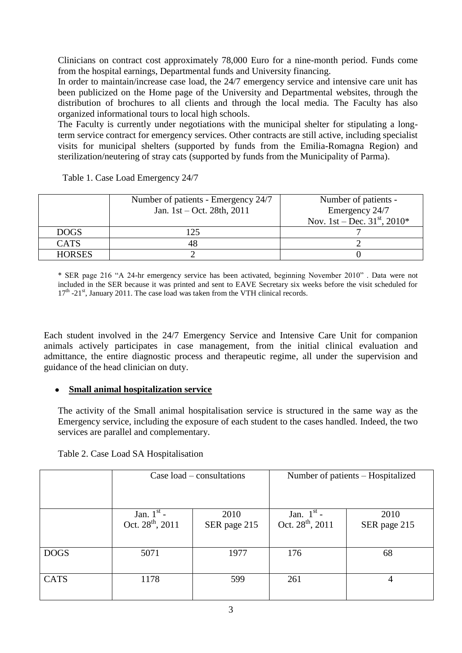Clinicians on contract cost approximately 78,000 Euro for a nine-month period. Funds come from the hospital earnings, Departmental funds and University financing.

In order to maintain/increase case load, the 24/7 emergency service and intensive care unit has been publicized on the Home page of the University and Departmental websites, through the distribution of brochures to all clients and through the local media. The Faculty has also organized informational tours to local high schools.

The Faculty is currently under negotiations with the municipal shelter for stipulating a longterm service contract for emergency services. Other contracts are still active, including specialist visits for municipal shelters (supported by funds from the Emilia-Romagna Region) and sterilization/neutering of stray cats (supported by funds from the Municipality of Parma).

|               | Number of patients - Emergency 24/7<br>Jan. 1st – Oct. 28th, 2011 | Number of patients -<br>Emergency 24/7<br>Nov. 1st – Dec. $31^{st}$ , 2010* |
|---------------|-------------------------------------------------------------------|-----------------------------------------------------------------------------|
| <b>DOGS</b>   | 125                                                               |                                                                             |
| <b>CATS</b>   |                                                                   |                                                                             |
| <b>HORSES</b> |                                                                   |                                                                             |

Table 1. Case Load Emergency 24/7

\* SER page 216 "A 24-hr emergency service has been activated, beginning November 2010". Data were not included in the SER because it was printed and sent to EAVE Secretary six weeks before the visit scheduled for 17<sup>th</sup> -21<sup>st</sup>, January 2011. The case load was taken from the VTH clinical records.

Each student involved in the 24/7 Emergency Service and Intensive Care Unit for companion animals actively participates in case management, from the initial clinical evaluation and admittance, the entire diagnostic process and therapeutic regime, all under the supervision and guidance of the head clinician on duty.

#### **Small animal hospitalization service**  $\bullet$

The activity of the Small animal hospitalisation service is structured in the same way as the Emergency service, including the exposure of each student to the cases handled. Indeed, the two services are parallel and complementary.

|             | Case $load$ – consultations                  |                      | Number of patients – Hospitalized            |                      |  |  |
|-------------|----------------------------------------------|----------------------|----------------------------------------------|----------------------|--|--|
|             | Jan. $1st$ -<br>Oct. 28 <sup>th</sup> , 2011 | 2010<br>SER page 215 | Jan. $1st$ -<br>Oct. 28 <sup>th</sup> , 2011 | 2010<br>SER page 215 |  |  |
| <b>DOGS</b> | 5071                                         | 1977                 | 176                                          | 68                   |  |  |
| <b>CATS</b> | 1178                                         | 599                  | 261                                          | 4                    |  |  |
|             |                                              | $\sim$               |                                              |                      |  |  |

Table 2. Case Load SA Hospitalisation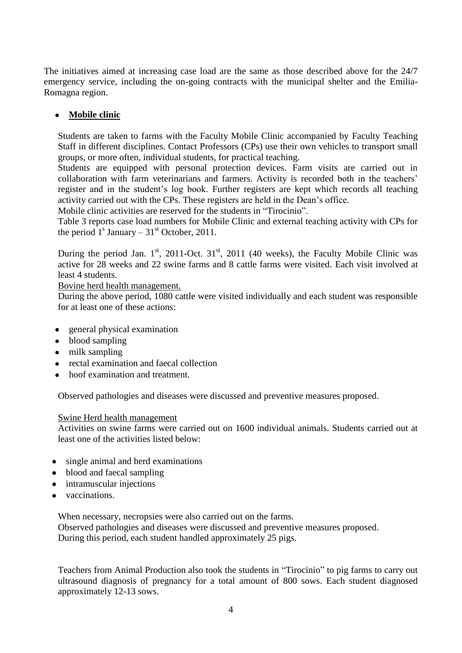The initiatives aimed at increasing case load are the same as those described above for the 24/7 emergency service, including the on-going contracts with the municipal shelter and the Emilia-Romagna region.

## **Mobile clinic**

Students are taken to farms with the Faculty Mobile Clinic accompanied by Faculty Teaching Staff in different disciplines. Contact Professors (CPs) use their own vehicles to transport small groups, or more often, individual students, for practical teaching.

Students are equipped with personal protection devices. Farm visits are carried out in collaboration with farm veterinarians and farmers. Activity is recorded both in the teachers' register and in the student's log book. Further registers are kept which records all teaching activity carried out with the CPs. These registers are held in the Dean's office.

Mobile clinic activities are reserved for the students in "Tirocinio".

Table 3 reports case load numbers for Mobile Clinic and external teaching activity with CPs for the period  $1<sup>s</sup>$  January – 31<sup>st</sup> October, 2011.

During the period Jan.  $1<sup>st</sup>$ , 2011-Oct.  $31<sup>st</sup>$ , 2011 (40 weeks), the Faculty Mobile Clinic was active for 28 weeks and 22 swine farms and 8 cattle farms were visited. Each visit involved at least 4 students.

#### Bovine herd health management.

During the above period, 1080 cattle were visited individually and each student was responsible for at least one of these actions:

- general physical examination
- blood sampling
- milk sampling
- rectal examination and faecal collection
- hoof examination and treatment.

Observed pathologies and diseases were discussed and preventive measures proposed.

#### Swine Herd health management

Activities on swine farms were carried out on 1600 individual animals. Students carried out at least one of the activities listed below:

- single animal and herd examinations
- blood and faecal sampling
- intramuscular injections
- vaccinations.

When necessary, necropsies were also carried out on the farms. Observed pathologies and diseases were discussed and preventive measures proposed. During this period, each student handled approximately 25 pigs.

Teachers from Animal Production also took the students in "Tirocinio" to pig farms to carry out ultrasound diagnosis of pregnancy for a total amount of 800 sows. Each student diagnosed approximately 12-13 sows.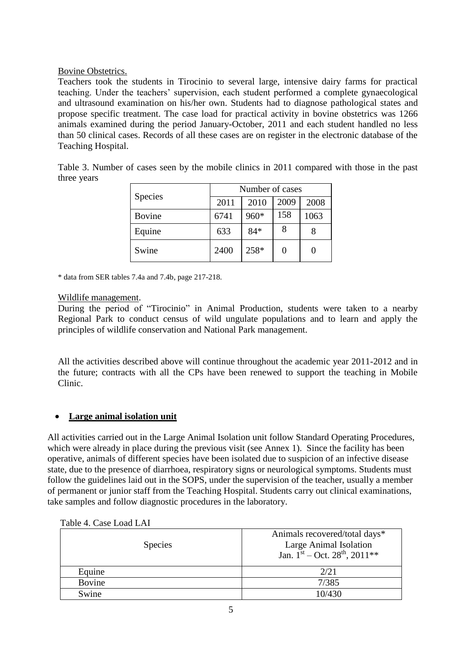### Bovine Obstetrics.

Teachers took the students in Tirocinio to several large, intensive dairy farms for practical teaching. Under the teachers' supervision, each student performed a complete gynaecological and ultrasound examination on his/her own. Students had to diagnose pathological states and propose specific treatment. The case load for practical activity in bovine obstetrics was 1266 animals examined during the period January-October, 2011 and each student handled no less than 50 clinical cases. Records of all these cases are on register in the electronic database of the Teaching Hospital.

Table 3. Number of cases seen by the mobile clinics in 2011 compared with those in the past three years

|               | Number of cases |       |      |      |  |  |
|---------------|-----------------|-------|------|------|--|--|
| Species       | 2011            | 2010  | 2009 | 2008 |  |  |
| <b>Bovine</b> | 6741            | 960*  | 158  | 1063 |  |  |
| Equine        | 633             | $84*$ | 8    |      |  |  |
| Swine         | 2400            | 258*  |      |      |  |  |

\* data from SER tables 7.4a and 7.4b, page 217-218.

#### Wildlife management.

During the period of "Tirocinio" in Animal Production, students were taken to a nearby Regional Park to conduct census of wild ungulate populations and to learn and apply the principles of wildlife conservation and National Park management.

All the activities described above will continue throughout the academic year 2011-2012 and in the future; contracts with all the CPs have been renewed to support the teaching in Mobile Clinic.

### **Large animal isolation unit**

All activities carried out in the Large Animal Isolation unit follow Standard Operating Procedures, which were already in place during the previous visit (see Annex 1). Since the facility has been operative, animals of different species have been isolated due to suspicion of an infective disease state, due to the presence of diarrhoea, respiratory signs or neurological symptoms. Students must follow the guidelines laid out in the SOPS, under the supervision of the teacher, usually a member of permanent or junior staff from the Teaching Hospital. Students carry out clinical examinations, take samples and follow diagnostic procedures in the laboratory.

| <b>Species</b> | Animals recovered/total days*<br>Large Animal Isolation<br>Jan. $1^{\text{st}}$ – Oct. 28 <sup>th</sup> , 2011** |
|----------------|------------------------------------------------------------------------------------------------------------------|
| Equine         | 2/21                                                                                                             |
| <b>Bovine</b>  | 7/385                                                                                                            |
| Swine          | 10/430                                                                                                           |

Table 4. Case Load LAI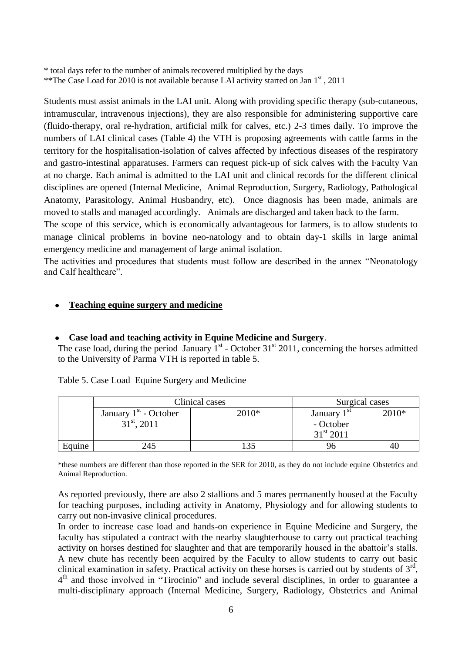\* total days refer to the number of animals recovered multiplied by the days

\*\* The Case Load for 2010 is not available because LAI activity started on Jan 1st, 2011

Students must assist animals in the LAI unit. Along with providing specific therapy (sub-cutaneous, intramuscular, intravenous injections), they are also responsible for administering supportive care (fluido-therapy, oral re-hydration, artificial milk for calves, etc.) 2-3 times daily. To improve the numbers of LAI clinical cases (Table 4) the VTH is proposing agreements with cattle farms in the territory for the hospitalisation-isolation of calves affected by infectious diseases of the respiratory and gastro-intestinal apparatuses. Farmers can request pick-up of sick calves with the Faculty Van at no charge. Each animal is admitted to the LAI unit and clinical records for the different clinical disciplines are opened (Internal Medicine, Animal Reproduction, Surgery, Radiology, Pathological Anatomy, Parasitology, Animal Husbandry, etc). Once diagnosis has been made, animals are moved to stalls and managed accordingly. Animals are discharged and taken back to the farm.

The scope of this service, which is economically advantageous for farmers, is to allow students to manage clinical problems in bovine neo-natology and to obtain day-1 skills in large animal emergency medicine and management of large animal isolation.

The activities and procedures that students must follow are described in the annex "Neonatology and Calf healthcare".

#### **Teaching equine surgery and medicine**

### **Case load and teaching activity in Equine Medicine and Surgery**.

The case load, during the period January  $1<sup>st</sup>$  - October 31 $<sup>st</sup>$  2011, concerning the horses admitted</sup> to the University of Parma VTH is reported in table 5.

|        |                         | Clinical cases |                    | Surgical cases |
|--------|-------------------------|----------------|--------------------|----------------|
|        | January $1st$ - October | 2010*          | January $1st$      | 2010*          |
|        | $31st$ , 2011           |                | - October          |                |
|        |                         |                | $31^{\rm st} 2011$ |                |
| Equine | 245                     |                |                    |                |

Table 5. Case Load Equine Surgery and Medicine

\*these numbers are different than those reported in the SER for 2010, as they do not include equine Obstetrics and Animal Reproduction.

As reported previously, there are also 2 stallions and 5 mares permanently housed at the Faculty for teaching purposes, including activity in Anatomy, Physiology and for allowing students to carry out non-invasive clinical procedures.

In order to increase case load and hands-on experience in Equine Medicine and Surgery, the faculty has stipulated a contract with the nearby slaughterhouse to carry out practical teaching activity on horses destined for slaughter and that are temporarily housed in the abattoir's stalls. A new chute has recently been acquired by the Faculty to allow students to carry out basic clinical examination in safety. Practical activity on these horses is carried out by students of  $3<sup>rd</sup>$ , 4<sup>th</sup> and those involved in "Tirocinio" and include several disciplines, in order to guarantee a multi-disciplinary approach (Internal Medicine, Surgery, Radiology, Obstetrics and Animal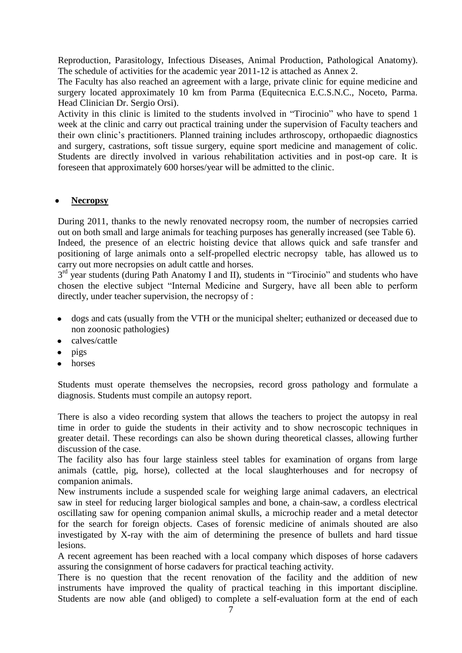Reproduction, Parasitology, Infectious Diseases, Animal Production, Pathological Anatomy). The schedule of activities for the academic year 2011-12 is attached as Annex 2.

The Faculty has also reached an agreement with a large, private clinic for equine medicine and surgery located approximately 10 km from Parma (Equitecnica E.C.S.N.C., Noceto, Parma. Head Clinician Dr. Sergio Orsi).

Activity in this clinic is limited to the students involved in "Tirocinio" who have to spend 1 week at the clinic and carry out practical training under the supervision of Faculty teachers and their own clinic's practitioners. Planned training includes arthroscopy, orthopaedic diagnostics and surgery, castrations, soft tissue surgery, equine sport medicine and management of colic. Students are directly involved in various rehabilitation activities and in post-op care. It is foreseen that approximately 600 horses/year will be admitted to the clinic.

#### **Necropsy**

During 2011, thanks to the newly renovated necropsy room, the number of necropsies carried out on both small and large animals for teaching purposes has generally increased (see Table 6). Indeed, the presence of an electric hoisting device that allows quick and safe transfer and positioning of large animals onto a self-propelled electric necropsy table, has allowed us to carry out more necropsies on adult cattle and horses.

3<sup>rd</sup> year students (during Path Anatomy I and II), students in "Tirocinio" and students who have chosen the elective subject "Internal Medicine and Surgery, have all been able to perform directly, under teacher supervision, the necropsy of :

- dogs and cats (usually from the VTH or the municipal shelter; euthanized or deceased due to  $\bullet$ non zoonosic pathologies)
- calves/cattle
- pigs
- horses

Students must operate themselves the necropsies, record gross pathology and formulate a diagnosis. Students must compile an autopsy report.

There is also a video recording system that allows the teachers to project the autopsy in real time in order to guide the students in their activity and to show necroscopic techniques in greater detail. These recordings can also be shown during theoretical classes, allowing further discussion of the case.

The facility also has four large stainless steel tables for examination of organs from large animals (cattle, pig, horse), collected at the local slaughterhouses and for necropsy of companion animals.

New instruments include a suspended scale for weighing large animal cadavers, an electrical saw in steel for reducing larger biological samples and bone, a chain-saw, a cordless electrical oscillating saw for opening companion animal skulls, a microchip reader and a metal detector for the search for foreign objects. Cases of forensic medicine of animals shouted are also investigated by X-ray with the aim of determining the presence of bullets and hard tissue lesions.

A recent agreement has been reached with a local company which disposes of horse cadavers assuring the consignment of horse cadavers for practical teaching activity.

There is no question that the recent renovation of the facility and the addition of new instruments have improved the quality of practical teaching in this important discipline. Students are now able (and obliged) to complete a self-evaluation form at the end of each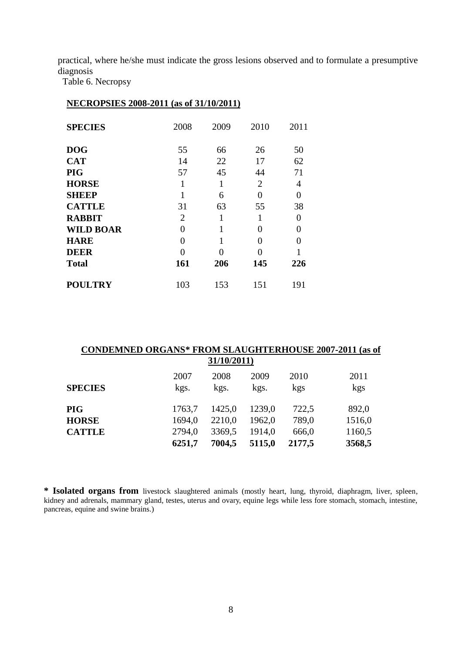practical, where he/she must indicate the gross lesions observed and to formulate a presumptive diagnosis

Table 6. Necropsy

#### **NECROPSIES 2008-2011 (as of 31/10/2011)**

| <b>SPECIES</b>   | 2008           | 2009 | 2010 | 2011     |
|------------------|----------------|------|------|----------|
| <b>DOG</b>       | 55             | 66   | 26   | 50       |
| <b>CAT</b>       | 14             | 22   | 17   | 62       |
| <b>PIG</b>       | 57             | 45   | 44   | 71       |
| <b>HORSE</b>     | 1              | 1    | 2    | 4        |
| <b>SHEEP</b>     | 1              | 6    | 0    | $\Omega$ |
| <b>CATTLE</b>    | 31             | 63   | 55   | 38       |
| <b>RABBIT</b>    | $\overline{2}$ | 1    |      | 0        |
| <b>WILD BOAR</b> | 0              | 1    | 0    | $\theta$ |
| <b>HARE</b>      | 0              | 1    | 0    |          |
| <b>DEER</b>      | 0              | 0    | 0    |          |
| <b>Total</b>     | 161            | 206  | 145  | 226      |
| <b>POULTRY</b>   | 103            | 153  | 151  | 191      |

|                | <b>CONDEMNED ORGANS* FROM SLAUGHTERHOUSE 2007-2011 (as of</b> |        |        |        |        |  |  |  |  |
|----------------|---------------------------------------------------------------|--------|--------|--------|--------|--|--|--|--|
| 31/10/2011)    |                                                               |        |        |        |        |  |  |  |  |
| <b>SPECIES</b> | 2007                                                          | 2008   | 2009   | 2010   | 2011   |  |  |  |  |
|                | kgs.                                                          | kgs.   | kgs.   | kgs    | kgs    |  |  |  |  |
| PIG            | 1763,7                                                        | 1425,0 | 1239,0 | 722,5  | 892,0  |  |  |  |  |
| <b>HORSE</b>   | 1694,0                                                        | 2210,0 | 1962,0 | 789,0  | 1516,0 |  |  |  |  |
| <b>CATTLE</b>  | 2794,0                                                        | 3369,5 | 1914,0 | 666,0  | 1160,5 |  |  |  |  |
|                | 6251,7                                                        | 7004,5 | 5115,0 | 2177,5 | 3568,5 |  |  |  |  |

**\* Isolated organs from** livestock slaughtered animals (mostly heart, lung, thyroid, diaphragm, liver, spleen, kidney and adrenals, mammary gland, testes, uterus and ovary, equine legs while less fore stomach, stomach, intestine, pancreas, equine and swine brains.)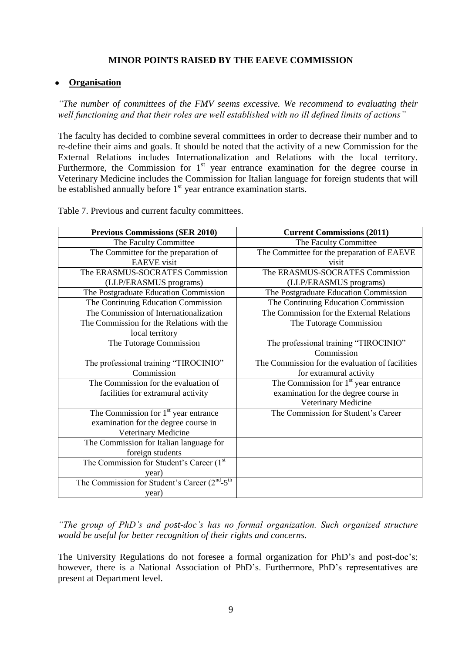#### **MINOR POINTS RAISED BY THE EAEVE COMMISSION**

#### **Organisation**

*"The number of committees of the FMV seems excessive. We recommend to evaluating their well functioning and that their roles are well established with no ill defined limits of actions"*

The faculty has decided to combine several committees in order to decrease their number and to re-define their aims and goals. It should be noted that the activity of a new Commission for the External Relations includes Internationalization and Relations with the local territory. Furthermore, the Commission for  $1<sup>st</sup>$  year entrance examination for the degree course in Veterinary Medicine includes the Commission for Italian language for foreign students that will be established annually before  $1<sup>st</sup>$  year entrance examination starts.

| <b>Previous Commissions (SER 2010)</b>          | <b>Current Commissions (2011)</b>               |
|-------------------------------------------------|-------------------------------------------------|
| The Faculty Committee                           | The Faculty Committee                           |
| The Committee for the preparation of            | The Committee for the preparation of EAEVE      |
| <b>EAEVE</b> visit                              | visit                                           |
| The ERASMUS-SOCRATES Commission                 | The ERASMUS-SOCRATES Commission                 |
| (LLP/ERASMUS programs)                          | (LLP/ERASMUS programs)                          |
| The Postgraduate Education Commission           | The Postgraduate Education Commission           |
| The Continuing Education Commission             | The Continuing Education Commission             |
| The Commission of Internationalization          | The Commission for the External Relations       |
| The Commission for the Relations with the       | The Tutorage Commission                         |
| local territory                                 |                                                 |
| The Tutorage Commission                         | The professional training "TIROCINIO"           |
|                                                 | Commission                                      |
| The professional training "TIROCINIO"           | The Commission for the evaluation of facilities |
| Commission                                      | for extramural activity                         |
| The Commission for the evaluation of            | The Commission for $1st$ year entrance          |
| facilities for extramural activity              | examination for the degree course in            |
|                                                 | Veterinary Medicine                             |
| The Commission for $1st$ year entrance          | The Commission for Student's Career             |
| examination for the degree course in            |                                                 |
| Veterinary Medicine                             |                                                 |
| The Commission for Italian language for         |                                                 |
| foreign students                                |                                                 |
| The Commission for Student's Career (1st        |                                                 |
| year)                                           |                                                 |
| The Commission for Student's Career $(2nd-5th)$ |                                                 |
| year)                                           |                                                 |

Table 7. Previous and current faculty committees.

*"The group of PhD's and post-doc's has no formal organization. Such organized structure would be useful for better recognition of their rights and concerns.*

The University Regulations do not foresee a formal organization for PhD's and post-doc's; however, there is a National Association of PhD's. Furthermore, PhD's representatives are present at Department level.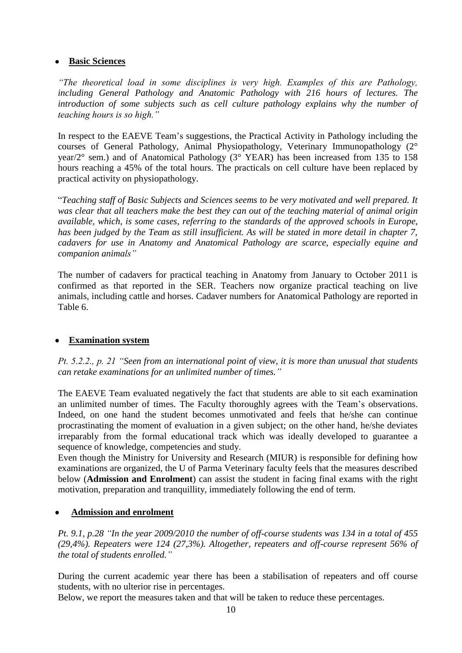#### **Basic Sciences**

*"The theoretical load in some disciplines is very high. Examples of this are Pathology, including General Pathology and Anatomic Pathology with 216 hours of lectures. The introduction of some subjects such as cell culture pathology explains why the number of teaching hours is so high."*

In respect to the EAEVE Team's suggestions, the Practical Activity in Pathology including the courses of General Pathology, Animal Physiopathology, Veterinary Immunopathology (2° year/2° sem.) and of Anatomical Pathology (3° YEAR) has been increased from 135 to 158 hours reaching a 45% of the total hours. The practicals on cell culture have been replaced by practical activity on physiopathology.

―*Teaching staff of Basic Subjects and Sciences seems to be very motivated and well prepared. It was clear that all teachers make the best they can out of the teaching material of animal origin available, which, is some cases, referring to the standards of the approved schools in Europe, has been judged by the Team as still insufficient. As will be stated in more detail in chapter 7, cadavers for use in Anatomy and Anatomical Pathology are scarce, especially equine and companion animals"*

The number of cadavers for practical teaching in Anatomy from January to October 2011 is confirmed as that reported in the SER. Teachers now organize practical teaching on live animals, including cattle and horses. Cadaver numbers for Anatomical Pathology are reported in Table 6.

#### **Examination system**

*Pt. 5.2.2., p. 21 "Seen from an international point of view, it is more than unusual that students can retake examinations for an unlimited number of times."*

The EAEVE Team evaluated negatively the fact that students are able to sit each examination an unlimited number of times. The Faculty thoroughly agrees with the Team's observations. Indeed, on one hand the student becomes unmotivated and feels that he/she can continue procrastinating the moment of evaluation in a given subject; on the other hand, he/she deviates irreparably from the formal educational track which was ideally developed to guarantee a sequence of knowledge, competencies and study.

Even though the Ministry for University and Research (MIUR) is responsible for defining how examinations are organized, the U of Parma Veterinary faculty feels that the measures described below (**Admission and Enrolment**) can assist the student in facing final exams with the right motivation, preparation and tranquillity, immediately following the end of term.

#### **Admission and enrolment**

*Pt. 9.1, p.28 "In the year 2009/2010 the number of off-course students was 134 in a total of 455 (29,4%). Repeaters were 124 (27,3%). Altogether, repeaters and off-course represent 56% of the total of students enrolled."*

During the current academic year there has been a stabilisation of repeaters and off course students, with no ulterior rise in percentages.

Below, we report the measures taken and that will be taken to reduce these percentages.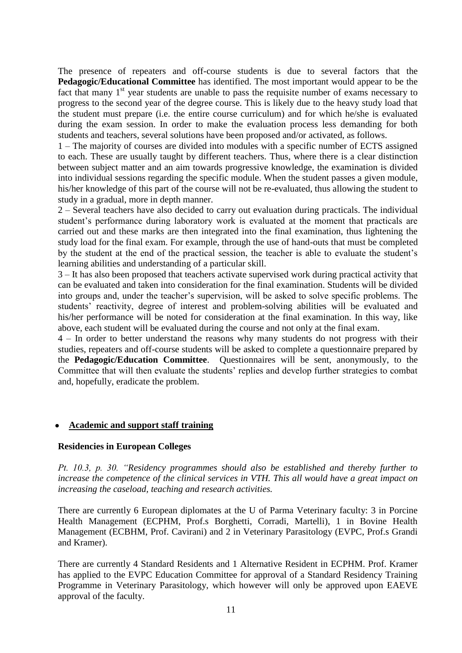The presence of repeaters and off-course students is due to several factors that the **Pedagogic/Educational Committee** has identified. The most important would appear to be the fact that many  $1<sup>st</sup>$  year students are unable to pass the requisite number of exams necessary to progress to the second year of the degree course. This is likely due to the heavy study load that the student must prepare (i.e. the entire course curriculum) and for which he/she is evaluated during the exam session. In order to make the evaluation process less demanding for both students and teachers, several solutions have been proposed and/or activated, as follows.

1 – The majority of courses are divided into modules with a specific number of ECTS assigned to each. These are usually taught by different teachers. Thus, where there is a clear distinction between subject matter and an aim towards progressive knowledge, the examination is divided into individual sessions regarding the specific module. When the student passes a given module, his/her knowledge of this part of the course will not be re-evaluated, thus allowing the student to study in a gradual, more in depth manner.

2 – Several teachers have also decided to carry out evaluation during practicals. The individual student's performance during laboratory work is evaluated at the moment that practicals are carried out and these marks are then integrated into the final examination, thus lightening the study load for the final exam. For example, through the use of hand-outs that must be completed by the student at the end of the practical session, the teacher is able to evaluate the student's learning abilities and understanding of a particular skill.

3 – It has also been proposed that teachers activate supervised work during practical activity that can be evaluated and taken into consideration for the final examination. Students will be divided into groups and, under the teacher's supervision, will be asked to solve specific problems. The students' reactivity, degree of interest and problem-solving abilities will be evaluated and his/her performance will be noted for consideration at the final examination. In this way, like above, each student will be evaluated during the course and not only at the final exam.

4 – In order to better understand the reasons why many students do not progress with their studies, repeaters and off-course students will be asked to complete a questionnaire prepared by the **Pedagogic/Education Committee**. Questionnaires will be sent, anonymously, to the Committee that will then evaluate the students' replies and develop further strategies to combat and, hopefully, eradicate the problem.

### **Academic and support staff training**

#### **Residencies in European Colleges**

*Pt. 10.3, p. 30. "Residency programmes should also be established and thereby further to increase the competence of the clinical services in VTH. This all would have a great impact on increasing the caseload, teaching and research activities.*

There are currently 6 European diplomates at the U of Parma Veterinary faculty: 3 in Porcine Health Management (ECPHM, Prof.s Borghetti, Corradi, Martelli), 1 in Bovine Health Management (ECBHM, Prof. Cavirani) and 2 in Veterinary Parasitology (EVPC, Prof.s Grandi and Kramer).

There are currently 4 Standard Residents and 1 Alternative Resident in ECPHM. Prof. Kramer has applied to the EVPC Education Committee for approval of a Standard Residency Training Programme in Veterinary Parasitology, which however will only be approved upon EAEVE approval of the faculty.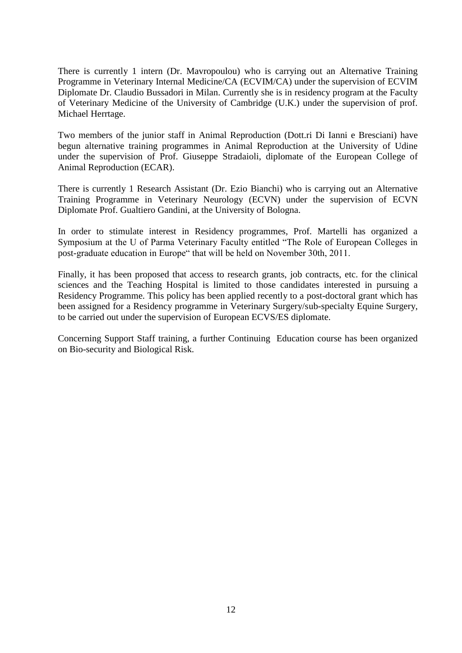There is currently 1 intern (Dr. Mavropoulou) who is carrying out an Alternative Training Programme in Veterinary Internal Medicine/CA (ECVIM/CA) under the supervision of ECVIM Diplomate Dr. Claudio Bussadori in Milan. Currently she is in residency program at the Faculty of Veterinary Medicine of the University of Cambridge (U.K.) under the supervision of prof. Michael Herrtage.

Two members of the junior staff in Animal Reproduction (Dott.ri Di Ianni e Bresciani) have begun alternative training programmes in Animal Reproduction at the University of Udine under the supervision of Prof. Giuseppe Stradaioli, diplomate of the European College of Animal Reproduction (ECAR).

There is currently 1 Research Assistant (Dr. Ezio Bianchi) who is carrying out an Alternative Training Programme in Veterinary Neurology (ECVN) under the supervision of ECVN Diplomate Prof. Gualtiero Gandini, at the University of Bologna.

In order to stimulate interest in Residency programmes, Prof. Martelli has organized a Symposium at the U of Parma Veterinary Faculty entitled "The Role of European Colleges in post-graduate education in Europe" that will be held on November 30th, 2011.

Finally, it has been proposed that access to research grants, job contracts, etc. for the clinical sciences and the Teaching Hospital is limited to those candidates interested in pursuing a Residency Programme. This policy has been applied recently to a post-doctoral grant which has been assigned for a Residency programme in Veterinary Surgery/sub-specialty Equine Surgery, to be carried out under the supervision of European ECVS/ES diplomate.

Concerning Support Staff training, a further Continuing Education course has been organized on Bio-security and Biological Risk.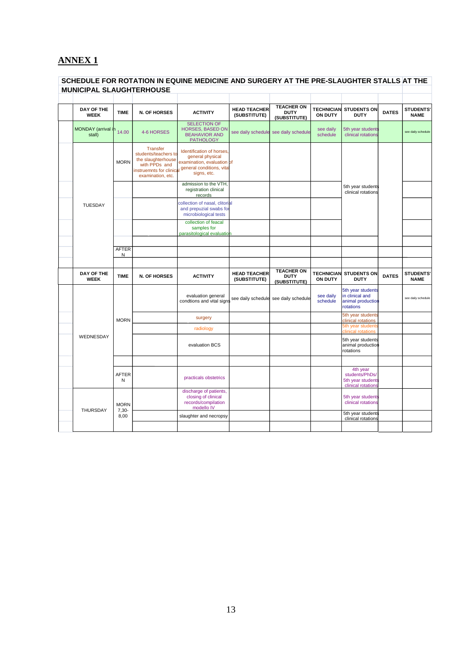# **ANNEX 1**

#### **SCHEDULE FOR ROTATION IN EQUINE MEDICINE AND SURGERY AT THE PRE-SLAUGHTER STALLS AT THE MUNICIPAL SLAUGHTERHOUSE**

| DAY OF THE<br><b>WEEK</b>          | <b>TIME</b>       | <b>N. OF HORSES</b>                                                                                 | <b>ACTIVITY</b>                                                                                                                                 | <b>HEAD TEACHER</b><br>(SUBSTITUTE) | <b>TEACHER ON</b><br><b>DUTY</b><br>(SUBSTITUTE) | <b>TECHNICIAN</b><br><b>ON DUTY</b> | <b>STUDENTS ON</b><br><b>DUTY</b>                                         | <b>DATES</b> | <b>STUDENTS'</b><br><b>NAME</b> |
|------------------------------------|-------------------|-----------------------------------------------------------------------------------------------------|-------------------------------------------------------------------------------------------------------------------------------------------------|-------------------------------------|--------------------------------------------------|-------------------------------------|---------------------------------------------------------------------------|--------------|---------------------------------|
| MONDAY (arrival in 14.00<br>stall) |                   | 4-6 HORSES                                                                                          | <b>SELECTION OF</b><br><b>HORSES, BASED ON</b><br><b>BEAHAVIOR AND</b><br><b>PATHOLOGY</b>                                                      | see daily schedule                  | see daily schedule                               | see daily<br>schedule               | 5th year students<br>clinical rotations                                   |              | see daily schedule              |
|                                    | <b>MORN</b>       | <b>Transfer</b><br>students/teachers to<br>the slaughterhouse<br>with PPDs and<br>examination, etc. | Identification of horses.<br>general physical<br>examination, evaluation of<br>instruemnts for clinical general conditions, vita<br>signs, etc. |                                     |                                                  |                                     |                                                                           |              |                                 |
|                                    |                   |                                                                                                     | admission to the VTH,<br>registration clinical<br>records                                                                                       |                                     |                                                  |                                     | 5th year students<br>clinical rotations                                   |              |                                 |
| <b>TUESDAY</b>                     |                   |                                                                                                     | collection of nasal, clitorial<br>and prepuzial swabs for<br>microbiological tests                                                              |                                     |                                                  |                                     |                                                                           |              |                                 |
|                                    |                   |                                                                                                     | collection of feacal<br>samples for<br>parasitological evaluation                                                                               |                                     |                                                  |                                     |                                                                           |              |                                 |
|                                    |                   |                                                                                                     |                                                                                                                                                 |                                     |                                                  |                                     |                                                                           |              |                                 |
|                                    | <b>AFTER</b><br>N |                                                                                                     |                                                                                                                                                 |                                     |                                                  |                                     |                                                                           |              |                                 |
|                                    |                   |                                                                                                     |                                                                                                                                                 |                                     |                                                  |                                     |                                                                           |              |                                 |
|                                    |                   |                                                                                                     |                                                                                                                                                 |                                     |                                                  |                                     |                                                                           |              |                                 |
| DAY OF THE<br><b>WEEK</b>          | <b>TIME</b>       | <b>N. OF HORSES</b>                                                                                 | <b>ACTIVITY</b>                                                                                                                                 | <b>HEAD TEACHER</b><br>(SUBSTITUTE) | <b>TEACHER ON</b><br><b>DUTY</b><br>(SUBSTITUTE) | <b>TECHNICIAN</b><br>ON DUTY        | <b>STUDENTS ON</b><br><b>DUTY</b>                                         | <b>DATES</b> | <b>STUDENTS'</b><br><b>NAME</b> |
|                                    |                   |                                                                                                     | evaluation general<br>condtions and vital signs                                                                                                 | see daily schedule                  | see daily schedule                               | see daily<br>schedule               | 5th year students<br>in clinical and<br>animal production<br>rotations    |              | see daily schedule              |
|                                    | <b>MORN</b>       |                                                                                                     | surgery                                                                                                                                         |                                     |                                                  |                                     | 5th year students                                                         |              |                                 |
|                                    |                   |                                                                                                     | radiology                                                                                                                                       |                                     |                                                  |                                     | clinical rotations<br>5th year students                                   |              |                                 |
| WEDNESDAY                          |                   |                                                                                                     | evaluation BCS                                                                                                                                  |                                     |                                                  |                                     | clinical rotations<br>5th year students<br>animal production<br>rotations |              |                                 |
|                                    |                   |                                                                                                     |                                                                                                                                                 |                                     |                                                  |                                     |                                                                           |              |                                 |
|                                    | <b>AFTER</b><br>N |                                                                                                     | practicals obstetrics                                                                                                                           |                                     |                                                  |                                     | 4th year<br>students/PhDs/<br>5th year students<br>clinical rotations     |              |                                 |
|                                    | <b>MORN</b>       |                                                                                                     | discharge of patients,<br>closing of clinical<br>records/compilation<br>modello IV                                                              |                                     |                                                  |                                     | 5th year students<br>clinical rotations                                   |              |                                 |
| THURSDAY                           | $7,30-$<br>8,00   |                                                                                                     | slaughter and necropsy                                                                                                                          |                                     |                                                  |                                     | 5th year students<br>clinical rotations                                   |              |                                 |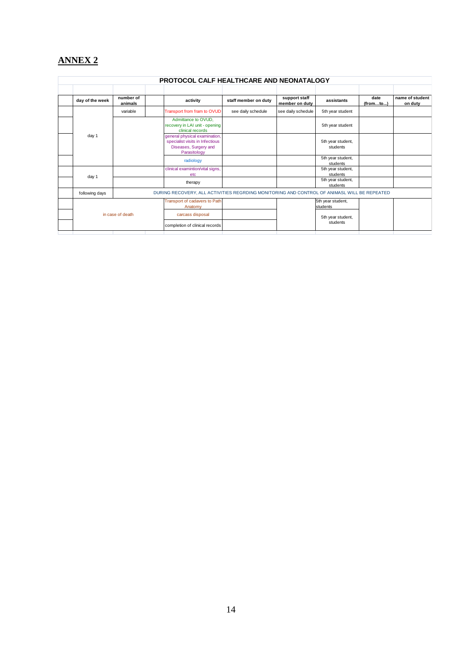# **ANNEX 2**

| <b>PROTOCOL CALF HEALTHCARE AND NEONATALOGY</b> |                      |                                                                                                           |                      |                                 |                               |                  |                            |  |  |
|-------------------------------------------------|----------------------|-----------------------------------------------------------------------------------------------------------|----------------------|---------------------------------|-------------------------------|------------------|----------------------------|--|--|
|                                                 |                      |                                                                                                           |                      |                                 |                               |                  |                            |  |  |
| day of the week                                 | number of<br>animals | activity                                                                                                  | staff member on duty | support staff<br>member on duty | assistants                    | date<br>(fromto) | name of student<br>on duty |  |  |
|                                                 | variable             | Transport from fram to OVUD                                                                               | see daily schedule   | see daily schedule              | 5th year student              |                  |                            |  |  |
|                                                 |                      | Admittance to OVUD,<br>recovery in LAI unit - opening<br>clinical records                                 |                      |                                 | 5th year student              |                  |                            |  |  |
| day 1                                           |                      | general physical examination,<br>specialist visits in Infectious<br>Diseases, Surgery and<br>Parasitology |                      |                                 | 5th year student,<br>students |                  |                            |  |  |
|                                                 |                      | radiology                                                                                                 |                      |                                 | 5th year student,<br>students |                  |                            |  |  |
|                                                 |                      | clinical examintion/vital signs,<br>etc                                                                   |                      |                                 | 5th year student,<br>students |                  |                            |  |  |
| day 1                                           |                      | therapy                                                                                                   |                      |                                 | 5th year student,<br>students |                  |                            |  |  |
| following days                                  |                      | DURING RECOVERY, ALL ACTIVITIES REGRDING MONITORING AND CONTROL OF ANIMASL WILL BE REPEATED               |                      |                                 |                               |                  |                            |  |  |
|                                                 |                      | Transport of cadavers to Path<br>Anatomy                                                                  |                      |                                 | 5th year student,<br>students |                  |                            |  |  |
|                                                 | in case of death     | carcass disposal                                                                                          |                      |                                 | 5th year student,             |                  |                            |  |  |
|                                                 |                      | completion of clinical records                                                                            |                      |                                 | students                      |                  |                            |  |  |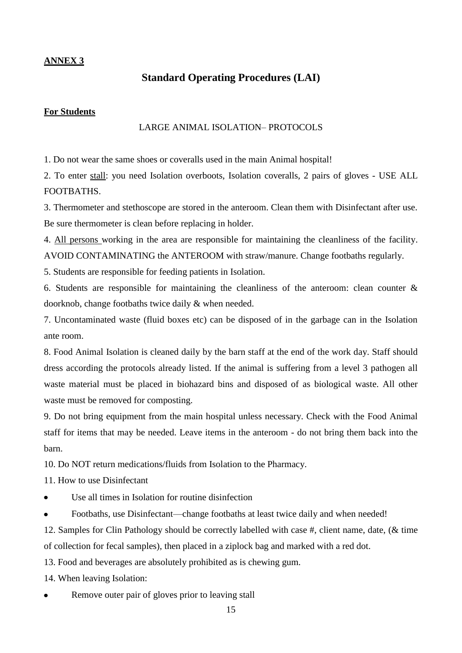#### **ANNEX 3**

# **Standard Operating Procedures (LAI)**

#### **For Students**

#### LARGE ANIMAL ISOLATION– PROTOCOLS

1. Do not wear the same shoes or coveralls used in the main Animal hospital!

2. To enter stall: you need Isolation overboots, Isolation coveralls, 2 pairs of gloves - USE ALL FOOTBATHS.

3. Thermometer and stethoscope are stored in the anteroom. Clean them with Disinfectant after use. Be sure thermometer is clean before replacing in holder.

4. All persons working in the area are responsible for maintaining the cleanliness of the facility. AVOID CONTAMINATING the ANTEROOM with straw/manure. Change footbaths regularly.

5. Students are responsible for feeding patients in Isolation.

6. Students are responsible for maintaining the cleanliness of the anteroom: clean counter  $\&$ doorknob, change footbaths twice daily & when needed.

7. Uncontaminated waste (fluid boxes etc) can be disposed of in the garbage can in the Isolation ante room.

8. Food Animal Isolation is cleaned daily by the barn staff at the end of the work day. Staff should dress according the protocols already listed. If the animal is suffering from a level 3 pathogen all waste material must be placed in biohazard bins and disposed of as biological waste. All other waste must be removed for composting.

9. Do not bring equipment from the main hospital unless necessary. Check with the Food Animal staff for items that may be needed. Leave items in the anteroom - do not bring them back into the barn.

10. Do NOT return medications/fluids from Isolation to the Pharmacy.

11. How to use Disinfectant

- Use all times in Isolation for routine disinfection
- Footbaths, use Disinfectant—change footbaths at least twice daily and when needed!

12. Samples for Clin Pathology should be correctly labelled with case #, client name, date, (& time of collection for fecal samples), then placed in a ziplock bag and marked with a red dot.

13. Food and beverages are absolutely prohibited as is chewing gum.

14. When leaving Isolation:

Remove outer pair of gloves prior to leaving stall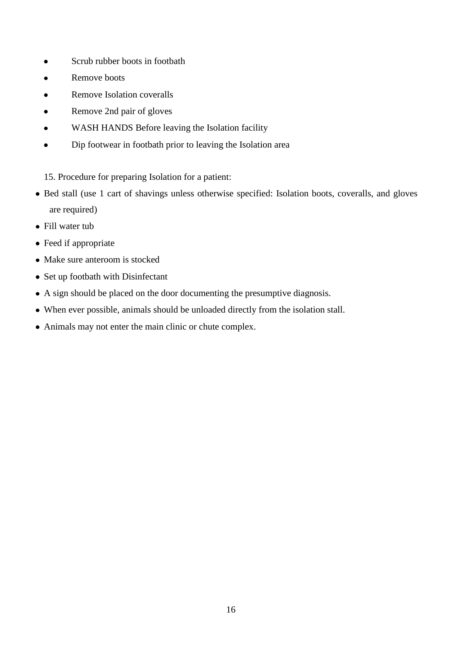- Scrub rubber boots in footbath  $\bullet$
- Remove boots  $\bullet$
- Remove Isolation coveralls  $\bullet$
- Remove 2nd pair of gloves  $\bullet$
- WASH HANDS Before leaving the Isolation facility  $\bullet$
- Dip footwear in footbath prior to leaving the Isolation area  $\bullet$
- 15. Procedure for preparing Isolation for a patient:
- Bed stall (use 1 cart of shavings unless otherwise specified: Isolation boots, coveralls, and gloves are required)
- Fill water tub
- Feed if appropriate
- Make sure anteroom is stocked
- Set up footbath with Disinfectant
- A sign should be placed on the door documenting the presumptive diagnosis.
- When ever possible, animals should be unloaded directly from the isolation stall.
- Animals may not enter the main clinic or chute complex.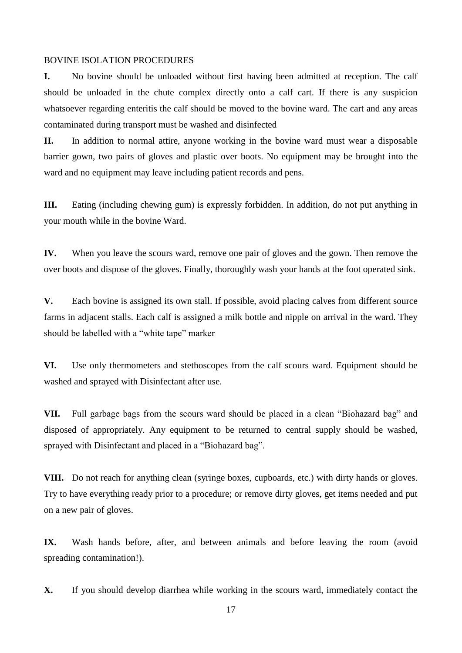#### BOVINE ISOLATION PROCEDURES

**I.** No bovine should be unloaded without first having been admitted at reception. The calf should be unloaded in the chute complex directly onto a calf cart. If there is any suspicion whatsoever regarding enteritis the calf should be moved to the bovine ward. The cart and any areas contaminated during transport must be washed and disinfected

**II.** In addition to normal attire, anyone working in the bovine ward must wear a disposable barrier gown, two pairs of gloves and plastic over boots. No equipment may be brought into the ward and no equipment may leave including patient records and pens.

**III.** Eating (including chewing gum) is expressly forbidden. In addition, do not put anything in your mouth while in the bovine Ward.

**IV.** When you leave the scours ward, remove one pair of gloves and the gown. Then remove the over boots and dispose of the gloves. Finally, thoroughly wash your hands at the foot operated sink.

**V.** Each bovine is assigned its own stall. If possible, avoid placing calves from different source farms in adjacent stalls. Each calf is assigned a milk bottle and nipple on arrival in the ward. They should be labelled with a "white tape" marker

**VI.** Use only thermometers and stethoscopes from the calf scours ward. Equipment should be washed and sprayed with Disinfectant after use.

**VII.** Full garbage bags from the scours ward should be placed in a clean "Biohazard bag" and disposed of appropriately. Any equipment to be returned to central supply should be washed, sprayed with Disinfectant and placed in a "Biohazard bag".

**VIII.** Do not reach for anything clean (syringe boxes, cupboards, etc.) with dirty hands or gloves. Try to have everything ready prior to a procedure; or remove dirty gloves, get items needed and put on a new pair of gloves.

**IX.** Wash hands before, after, and between animals and before leaving the room (avoid spreading contamination!).

**X.** If you should develop diarrhea while working in the scours ward, immediately contact the